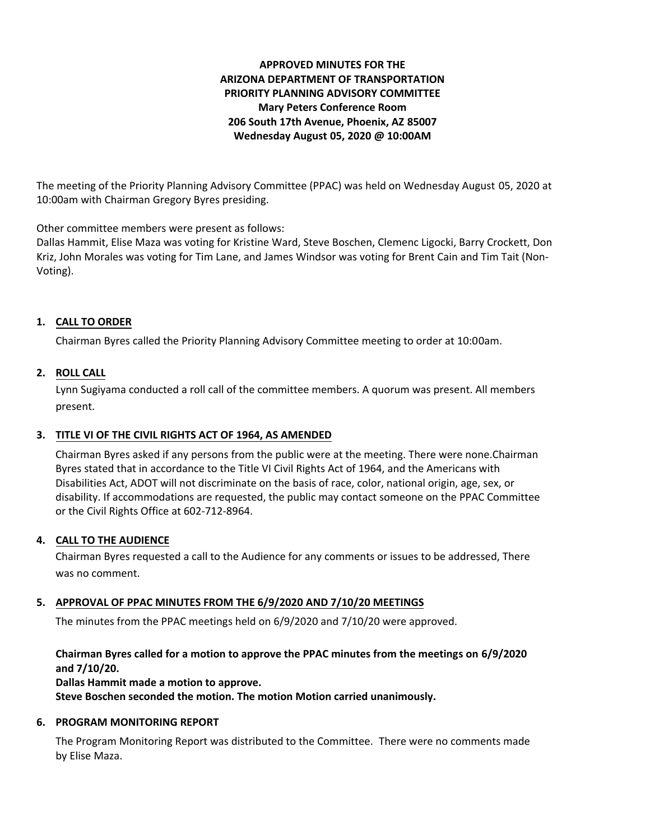## **APPROVED MINUTES FOR THE ARIZONA DEPARTMENT OF TRANSPORTATION PRIORITY PLANNING ADVISORY COMMITTEE Mary Peters Conference Room 206 South 17th Avenue, Phoenix, AZ 85007 Wednesday August 05, 2020 @ 10:00AM**

The meeting of the Priority Planning Advisory Committee (PPAC) was held on Wednesday August 05, 2020 at 10:00am with Chairman Gregory Byres presiding.

Other committee members were present as follows:

Dallas Hammit, Elise Maza was voting for Kristine Ward, Steve Boschen, Clemenc Ligocki, Barry Crockett, Don Kriz, John Morales was voting for Tim Lane, and James Windsor was voting for Brent Cain and Tim Tait (Non-Voting).

### **CALL TO ORDER 1.**

Chairman Byres called the Priority Planning Advisory Committee meeting to order at 10:00am.

### **ROLL CALL 2.**

Lynn Sugiyama conducted a roll call of the committee members. A quorum was present. All members present.

#### **TITLE VI OF THE CIVIL RIGHTS ACT OF 1964, AS AMENDED 3.**

Chairman Byres asked if any persons from the public were at the meeting. There were none.Chairman Byres stated that in accordance to the Title VI Civil Rights Act of 1964, and the Americans with Disabilities Act, ADOT will not discriminate on the basis of race, color, national origin, age, sex, or disability. If accommodations are requested, the public may contact someone on the PPAC Committee or the Civil Rights Office at 602-712-8964.

## **CALL TO THE AUDIENCE 4.**

Chairman Byres requested a call to the Audience for any comments or issues to be addressed, There was no comment.

# **APPROVAL OF PPAC MINUTES FROM THE 6/9/2020 AND 7/10/20 MEETINGS 5.**

The minutes from the PPAC meetings held on 6/9/2020 and 7/10/20 were approved.

## **Chairman Byres called for a motion to approve the PPAC minutes from the meetings on 6/9/2020 and 7/10/20.**

#### **Dallas Hammit made a motion to approve.**

**Steve Boschen seconded the motion. The motion Motion carried unanimously.**

#### **6. PROGRAM MONITORING REPORT**

The Program Monitoring Report was distributed to the Committee. There were no comments made by Elise Maza.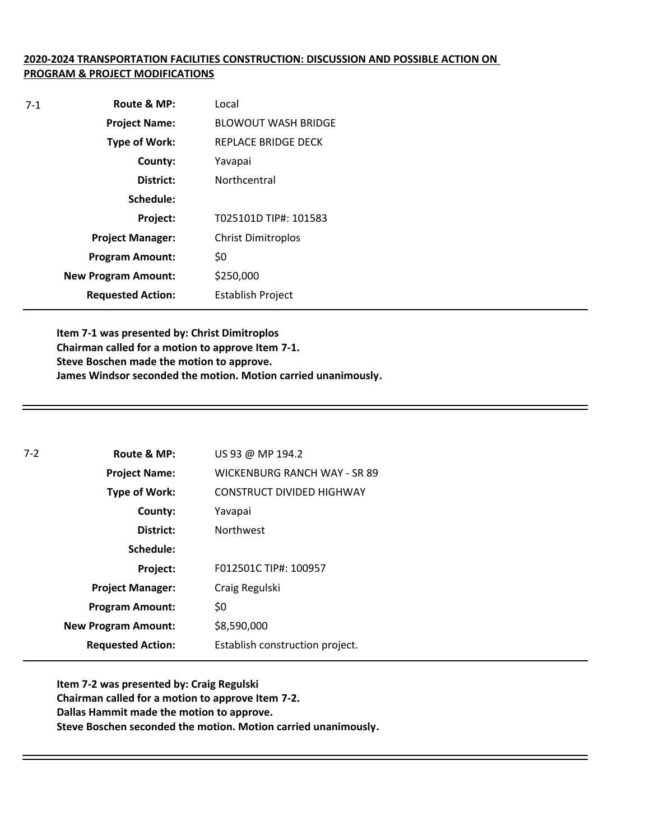## **2020-2024 TRANSPORTATION FACILITIES CONSTRUCTION: DISCUSSION AND POSSIBLE ACTION ON PROGRAM & PROJECT MODIFICATIONS**

| $7-1$ | Route & MP:                | Local                      |
|-------|----------------------------|----------------------------|
|       | <b>Project Name:</b>       | <b>BLOWOUT WASH BRIDGE</b> |
|       | <b>Type of Work:</b>       | REPLACE BRIDGE DECK        |
|       | County:                    | Yavapai                    |
|       | District:                  | Northcentral               |
|       | Schedule:                  |                            |
|       | Project:                   | T025101D TIP#: 101583      |
|       | <b>Project Manager:</b>    | <b>Christ Dimitroplos</b>  |
|       | <b>Program Amount:</b>     | \$0                        |
|       | <b>New Program Amount:</b> | \$250,000                  |
|       | <b>Requested Action:</b>   | <b>Establish Project</b>   |

**Item 7-1 was presented by: Christ Dimitroplos Chairman called for a motion to approve Item 7-1. Steve Boschen made the motion to approve. James Windsor seconded the motion. Motion carried unanimously.**

| $7-2$ | Route & MP:                | US 93 @ MP 194.2                    |
|-------|----------------------------|-------------------------------------|
|       | <b>Project Name:</b>       | <b>WICKENBURG RANCH WAY - SR 89</b> |
|       | <b>Type of Work:</b>       | <b>CONSTRUCT DIVIDED HIGHWAY</b>    |
|       | County:                    | Yavapai                             |
|       | District:                  | <b>Northwest</b>                    |
|       | Schedule:                  |                                     |
|       | Project:                   | F012501C TIP#: 100957               |
|       | <b>Project Manager:</b>    | Craig Regulski                      |
|       | <b>Program Amount:</b>     | \$0                                 |
|       | <b>New Program Amount:</b> | \$8,590,000                         |
|       | <b>Requested Action:</b>   | Establish construction project.     |

**Item 7-2 was presented by: Craig Regulski Chairman called for a motion to approve Item 7-2. Dallas Hammit made the motion to approve. Steve Boschen seconded the motion. Motion carried unanimously.**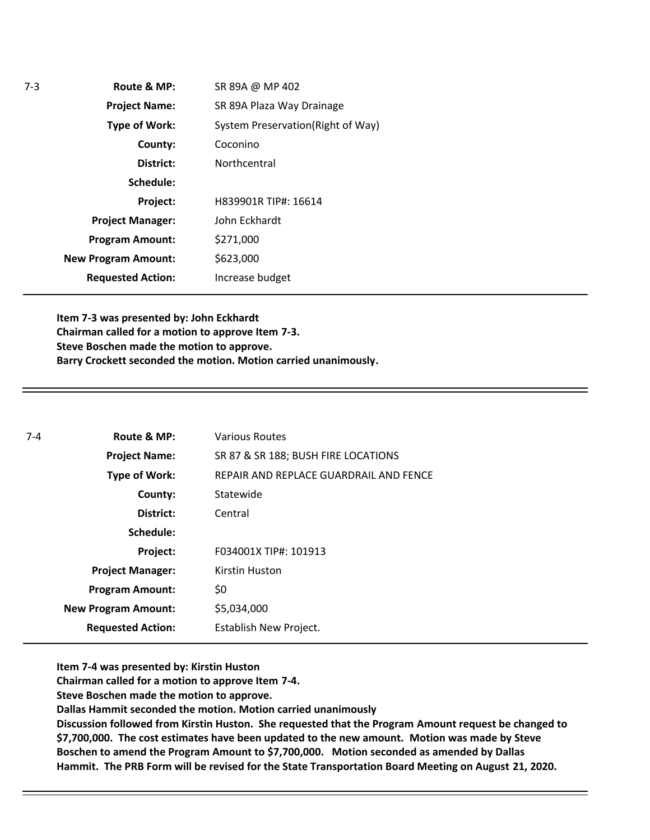**Route & MP: County: District: Schedule: Project Name: Type of Work: Project Manager: Project: Requested Action: New Program Amount: Program Amount:** SR 89A @ MP 402 SR 89A Plaza Way Drainage System Preservation(Right of Way) Coconino **Northcentral** H839901R TIP#: 16614 John Eckhardt \$271,000 \$623,000 Increase budget

**Item 7-3 was presented by: John Eckhardt Chairman called for a motion to approve Item 7-3. Steve Boschen made the motion to approve. Barry Crockett seconded the motion. Motion carried unanimously.**

| $7-4$ | Route & MP:                | <b>Various Routes</b>                  |
|-------|----------------------------|----------------------------------------|
|       | <b>Project Name:</b>       | SR 87 & SR 188; BUSH FIRE LOCATIONS    |
|       | <b>Type of Work:</b>       | REPAIR AND REPLACE GUARDRAIL AND FENCE |
|       | County:                    | Statewide                              |
|       | District:                  | Central                                |
|       | Schedule:                  |                                        |
|       | Project:                   | F034001X TIP#: 101913                  |
|       | <b>Project Manager:</b>    | Kirstin Huston                         |
|       | <b>Program Amount:</b>     | \$0                                    |
|       | <b>New Program Amount:</b> | \$5,034,000                            |
|       | <b>Requested Action:</b>   | Establish New Project.                 |

**Item 7-4 was presented by: Kirstin Huston**

**Chairman called for a motion to approve Item 7-4.**

**Steve Boschen made the motion to approve.**

**Dallas Hammit seconded the motion. Motion carried unanimously**

**Discussion followed from Kirstin Huston. She requested that the Program Amount request be changed to \$7,700,000. The cost estimates have been updated to the new amount. Motion was made by Steve Boschen to amend the Program Amount to \$7,700,000. Motion seconded as amended by Dallas Hammit. The PRB Form will be revised for the State Transportation Board Meeting on August 21, 2020.**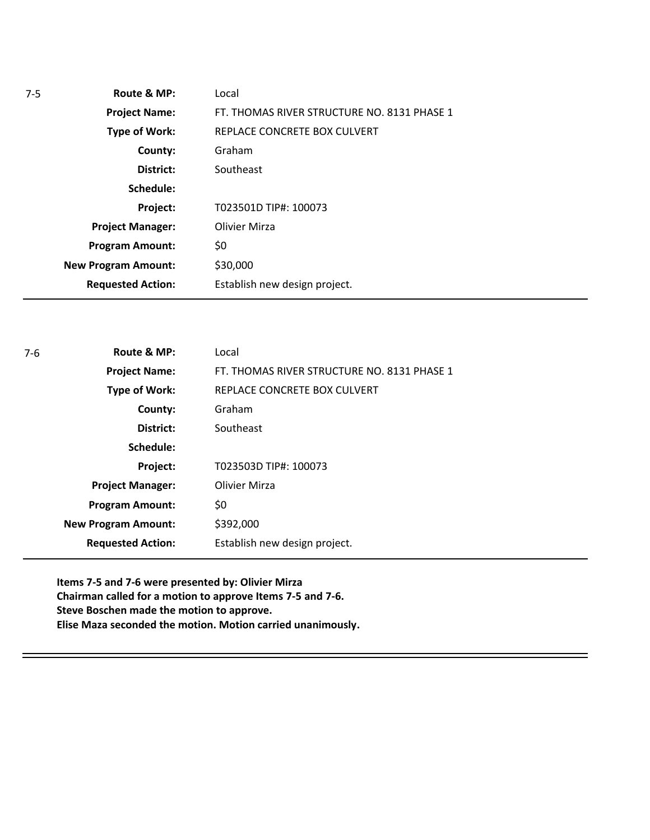| $7-5$ | Route & MP:                | Local                                       |
|-------|----------------------------|---------------------------------------------|
|       | <b>Project Name:</b>       | FT. THOMAS RIVER STRUCTURE NO. 8131 PHASE 1 |
|       | <b>Type of Work:</b>       | REPLACE CONCRETE BOX CULVERT                |
|       | County:                    | Graham                                      |
|       | District:                  | Southeast                                   |
|       | Schedule:                  |                                             |
|       | Project:                   | T023501D TIP#: 100073                       |
|       | <b>Project Manager:</b>    | Olivier Mirza                               |
|       | <b>Program Amount:</b>     | \$0                                         |
|       | <b>New Program Amount:</b> | \$30,000                                    |
|       | <b>Requested Action:</b>   | Establish new design project.               |

| $7-6$ | Route & MP:                | Local                                       |
|-------|----------------------------|---------------------------------------------|
|       | <b>Project Name:</b>       | FT. THOMAS RIVER STRUCTURE NO. 8131 PHASE 1 |
|       | <b>Type of Work:</b>       | REPLACE CONCRETE BOX CULVERT                |
|       | County:                    | Graham                                      |
|       | District:                  | Southeast                                   |
|       | Schedule:                  |                                             |
|       | Project:                   | T023503D TIP#: 100073                       |
|       | <b>Project Manager:</b>    | Olivier Mirza                               |
|       | <b>Program Amount:</b>     | \$0                                         |
|       | <b>New Program Amount:</b> | \$392,000                                   |
|       | <b>Requested Action:</b>   | Establish new design project.               |

**Items 7-5 and 7-6 were presented by: Olivier Mirza Chairman called for a motion to approve Items 7-5 and 7-6. Steve Boschen made the motion to approve. Elise Maza seconded the motion. Motion carried unanimously.**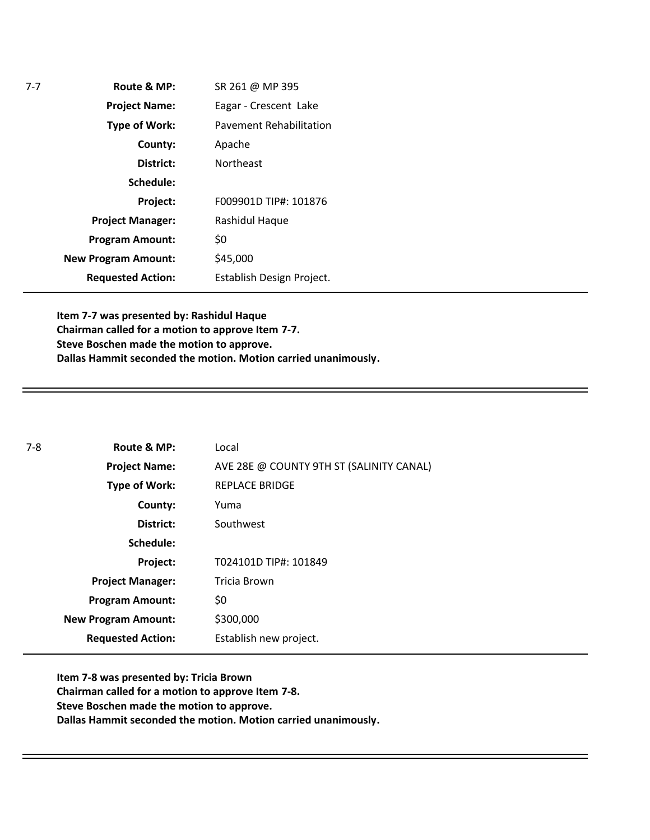**Route & MP: County: District: Schedule: Project Name: Type of Work: Project Manager: Project: Requested Action: New Program Amount: Program Amount:** SR 261 @ MP 395 Eagar - Crescent Lake Pavement Rehabilitation Apache Northeast F009901D TIP#: 101876 Rashidul Haque \$0 \$45,000 Establish Design Project.

**Item 7-7 was presented by: Rashidul Haque Chairman called for a motion to approve Item 7-7. Steve Boschen made the motion to approve. Dallas Hammit seconded the motion. Motion carried unanimously.**

| $7 - 8$ | Route & MP:                | Local                                    |
|---------|----------------------------|------------------------------------------|
|         | <b>Project Name:</b>       | AVE 28E @ COUNTY 9TH ST (SALINITY CANAL) |
|         | <b>Type of Work:</b>       | <b>REPLACE BRIDGE</b>                    |
|         | County:                    | Yuma                                     |
|         | District:                  | Southwest                                |
|         | Schedule:                  |                                          |
|         | Project:                   | T024101D TIP#: 101849                    |
|         | <b>Project Manager:</b>    | Tricia Brown                             |
|         | <b>Program Amount:</b>     | \$0                                      |
|         | <b>New Program Amount:</b> | \$300,000                                |
|         | <b>Requested Action:</b>   | Establish new project.                   |

**Item 7-8 was presented by: Tricia Brown Chairman called for a motion to approve Item 7-8. Steve Boschen made the motion to approve. Dallas Hammit seconded the motion. Motion carried unanimously.**

7-7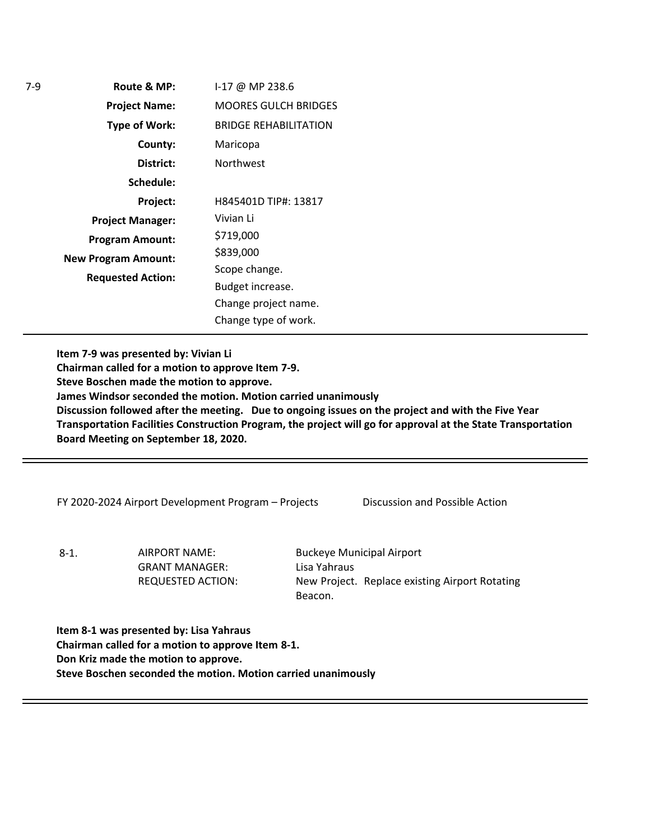**Route & MP: County: District: Schedule: Project Name: Type of Work: Project Manager: Project: Requested Action: New Program Amount: Program Amount:** I-17 @ MP 238.6 MOORES GULCH BRIDGES BRIDGE REHABILITATION Maricopa Northwest H845401D TIP#: 13817 Vivian Li \$719,000 \$839,000 Scope change. Budget increase. Change project name. Change type of work.

**Item 7-9 was presented by: Vivian Li Chairman called for a motion to approve Item 7-9. Steve Boschen made the motion to approve. James Windsor seconded the motion. Motion carried unanimously Discussion followed after the meeting. Due to ongoing issues on the project and with the Five Year Transportation Facilities Construction Program, the project will go for approval at the State Transportation Board Meeting on September 18, 2020.** 

FY 2020-2024 Airport Development Program – Projects Discussion and Possible Action

8-1. AIRPORT NAME: GRANT MANAGER: REQUESTED ACTION: Buckeye Municipal Airport Lisa Yahraus New Project. Replace existing Airport Rotating Beacon.

**Item 8-1 was presented by: Lisa Yahraus Chairman called for a motion to approve Item 8-1. Don Kriz made the motion to approve. Steve Boschen seconded the motion. Motion carried unanimously**

7-9